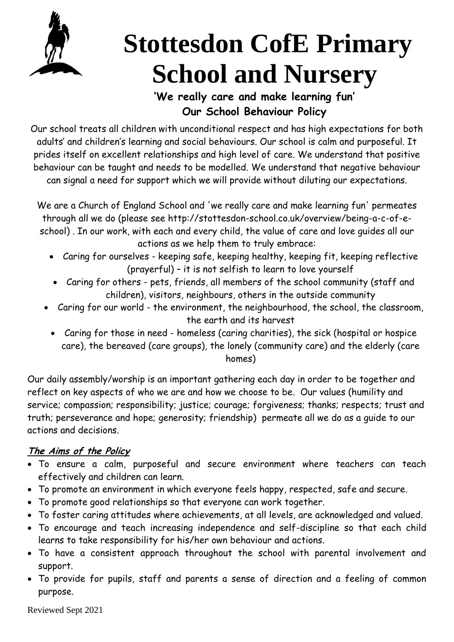

# **Stottesdon CofE Primary School and Nursery**

# **'We really care and make learning fun' Our School Behaviour Policy**

Our school treats all children with unconditional respect and has high expectations for both adults' and children's learning and social behaviours. Our school is calm and purposeful. It prides itself on excellent relationships and high level of care. We understand that positive behaviour can be taught and needs to be modelled. We understand that negative behaviour can signal a need for support which we will provide without diluting our expectations.

We are a Church of England School and 'we really care and make learning fun' permeates through all we do (please see [http://stottesdon-school.co.uk/overview/being-a-c-of-e](http://stottesdon-school.co.uk/overview/being-a-c-of-e-school)[school\)](http://stottesdon-school.co.uk/overview/being-a-c-of-e-school) . In our work, with each and every child, the value of care and love guides all our actions as we help them to truly embrace:

- Caring for ourselves keeping safe, keeping healthy, keeping fit, keeping reflective (prayerful) – it is not selfish to learn to love yourself
- Caring for others pets, friends, all members of the school community (staff and children), visitors, neighbours, others in the outside community
- Caring for our world the environment, the neighbourhood, the school, the classroom, the earth and its harvest
	- Caring for those in need homeless (caring charities), the sick (hospital or hospice care), the bereaved (care groups), the lonely (community care) and the elderly (care homes)

Our daily assembly/worship is an important gathering each day in order to be together and reflect on key aspects of who we are and how we choose to be. Our values (humility and service; compassion; responsibility; justice; courage; forgiveness; thanks; respects; trust and truth; perseverance and hope; generosity; friendship) permeate all we do as a guide to our actions and decisions.

# **The Aims of the Policy**

- To ensure a calm, purposeful and secure environment where teachers can teach effectively and children can learn.
- To promote an environment in which everyone feels happy, respected, safe and secure.
- To promote good relationships so that everyone can work together.
- To foster caring attitudes where achievements, at all levels, are acknowledged and valued.
- To encourage and teach increasing independence and self-discipline so that each child learns to take responsibility for his/her own behaviour and actions.
- To have a consistent approach throughout the school with parental involvement and support.
- To provide for pupils, staff and parents a sense of direction and a feeling of common purpose.

Reviewed Sept 2021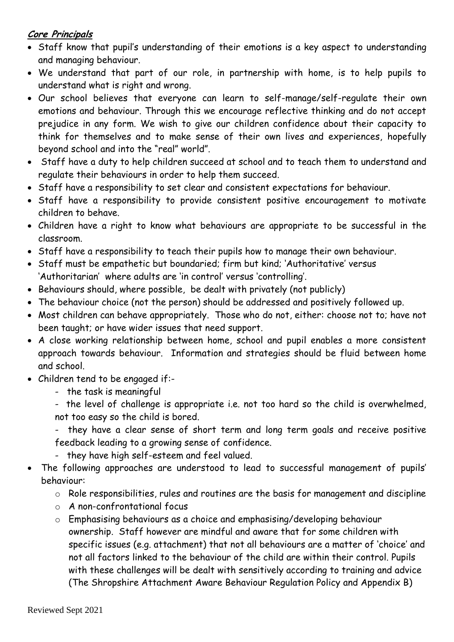## **Core Principals**

- Staff know that pupil's understanding of their emotions is a key aspect to understanding and managing behaviour.
- We understand that part of our role, in partnership with home, is to help pupils to understand what is right and wrong.
- Our school believes that everyone can learn to self-manage/self-regulate their own emotions and behaviour. Through this we encourage reflective thinking and do not accept prejudice in any form. We wish to give our children confidence about their capacity to think for themselves and to make sense of their own lives and experiences, hopefully beyond school and into the "real" world".
- Staff have a duty to help children succeed at school and to teach them to understand and regulate their behaviours in order to help them succeed.
- Staff have a responsibility to set clear and consistent expectations for behaviour.
- Staff have a responsibility to provide consistent positive encouragement to motivate children to behave.
- Children have a right to know what behaviours are appropriate to be successful in the classroom.
- Staff have a responsibility to teach their pupils how to manage their own behaviour.
- Staff must be empathetic but boundaried; firm but kind; 'Authoritative' versus 'Authoritarian' where adults are 'in control' versus 'controlling'.
- Behaviours should, where possible, be dealt with privately (not publicly)
- The behaviour choice (not the person) should be addressed and positively followed up.
- Most children can behave appropriately. Those who do not, either: choose not to; have not been taught; or have wider issues that need support.
- A close working relationship between home, school and pupil enables a more consistent approach towards behaviour. Information and strategies should be fluid between home and school.
- Children tend to be engaged if:-
	- the task is meaningful
	- the level of challenge is appropriate i.e. not too hard so the child is overwhelmed, not too easy so the child is bored.
	- they have a clear sense of short term and long term goals and receive positive feedback leading to a growing sense of confidence.
	- they have high self-esteem and feel valued.
- The following approaches are understood to lead to successful management of pupils' behaviour:
	- o Role responsibilities, rules and routines are the basis for management and discipline
	- o A non-confrontational focus
	- o Emphasising behaviours as a choice and emphasising/developing behaviour ownership. Staff however are mindful and aware that for some children with specific issues (e.g. attachment) that not all behaviours are a matter of 'choice' and not all factors linked to the behaviour of the child are within their control. Pupils with these challenges will be dealt with sensitively according to training and advice (The Shropshire Attachment Aware Behaviour Regulation Policy and Appendix B)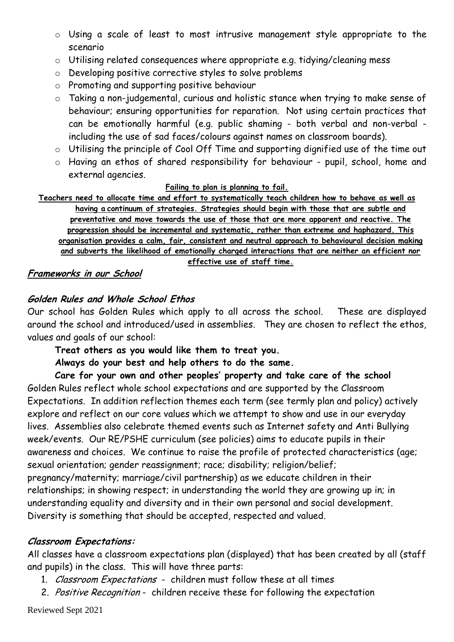- o Using a scale of least to most intrusive management style appropriate to the scenario
- o Utilising related consequences where appropriate e.g. tidying/cleaning mess
- o Developing positive corrective styles to solve problems
- o Promoting and supporting positive behaviour
- o Taking a non-judgemental, curious and holistic stance when trying to make sense of behaviour; ensuring opportunities for reparation. Not using certain practices that can be emotionally harmful (e.g. public shaming - both verbal and non-verbal including the use of sad faces/colours against names on classroom boards).
- o Utilising the principle of Cool Off Time and supporting dignified use of the time out
- o Having an ethos of shared responsibility for behaviour pupil, school, home and external agencies.

#### **Failing to plan is planning to fail.**

**Teachers need to allocate time and effort to systematically teach children how to behave as well as having a continuum of strategies. Strategies should begin with those that are subtle and preventative and move towards the use of those that are more apparent and reactive. The progression should be incremental and systematic, rather than extreme and haphazard. This organisation provides a calm, fair, consistent and neutral approach to behavioural decision making and subverts the likelihood of emotionally charged interactions that are neither an efficient nor effective use of staff time.**

#### **Frameworks in our School**

## **Golden Rules and Whole School Ethos**

Our school has Golden Rules which apply to all across the school. These are displayed around the school and introduced/used in assemblies. They are chosen to reflect the ethos, values and goals of our school:

**Treat others as you would like them to treat you.**

**Always do your best and help others to do the same.**

**Care for your own and other peoples' property and take care of the school** Golden Rules reflect whole school expectations and are supported by the Classroom Expectations. In addition reflection themes each term (see termly plan and policy) actively explore and reflect on our core values which we attempt to show and use in our everyday lives. Assemblies also celebrate themed events such as Internet safety and Anti Bullying week/events. Our RE/PSHE curriculum (see policies) aims to educate pupils in their awareness and choices. We continue to raise the profile of protected characteristics (age; sexual orientation; gender reassignment; race; disability; religion/belief; pregnancy/maternity; marriage/civil partnership) as we educate children in their relationships; in showing respect; in understanding the world they are growing up in; in understanding equality and diversity and in their own personal and social development. Diversity is something that should be accepted, respected and valued.

#### **Classroom Expectations:**

All classes have a classroom expectations plan (displayed) that has been created by all (staff and pupils) in the class. This will have three parts:

- 1. Classroom Expectations children must follow these at all times
- 2. Positive Recognition children receive these for following the expectation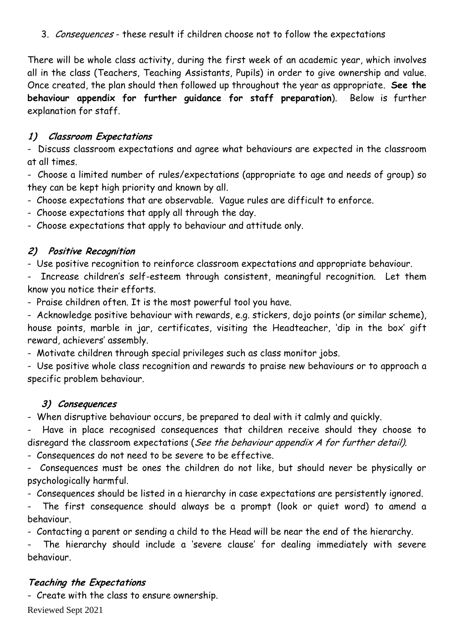3. Consequences - these result if children choose not to follow the expectations

There will be whole class activity, during the first week of an academic year, which involves all in the class (Teachers, Teaching Assistants, Pupils) in order to give ownership and value. Once created, the plan should then followed up throughout the year as appropriate. **See the behaviour appendix for further guidance for staff preparation**). Below is further explanation for staff.

## **1) Classroom Expectations**

- Discuss classroom expectations and agree what behaviours are expected in the classroom at all times.

- Choose a limited number of rules/expectations (appropriate to age and needs of group) so they can be kept high priority and known by all.

- Choose expectations that are observable. Vague rules are difficult to enforce.

- Choose expectations that apply all through the day.

- Choose expectations that apply to behaviour and attitude only.

## **2) Positive Recognition**

- Use positive recognition to reinforce classroom expectations and appropriate behaviour.

Increase children's self-esteem through consistent, meaningful recognition. Let them know you notice their efforts.

- Praise children often. It is the most powerful tool you have.

- Acknowledge positive behaviour with rewards, e.g. stickers, dojo points (or similar scheme), house points, marble in jar, certificates, visiting the Headteacher, 'dip in the box' gift reward, achievers' assembly.

- Motivate children through special privileges such as class monitor jobs.

- Use positive whole class recognition and rewards to praise new behaviours or to approach a specific problem behaviour.

## **3) Consequences**

- When disruptive behaviour occurs, be prepared to deal with it calmly and quickly.

Have in place recognised consequences that children receive should they choose to disregard the classroom expectations (See the behaviour appendix A for further detail).

- Consequences do not need to be severe to be effective.

- Consequences must be ones the children do not like, but should never be physically or psychologically harmful.

- Consequences should be listed in a hierarchy in case expectations are persistently ignored.

The first consequence should always be a prompt (look or quiet word) to amend a behaviour.

- Contacting a parent or sending a child to the Head will be near the end of the hierarchy.

The hierarchy should include a 'severe clause' for dealing immediately with severe behaviour.

## **Teaching the Expectations**

- Create with the class to ensure ownership.

Reviewed Sept 2021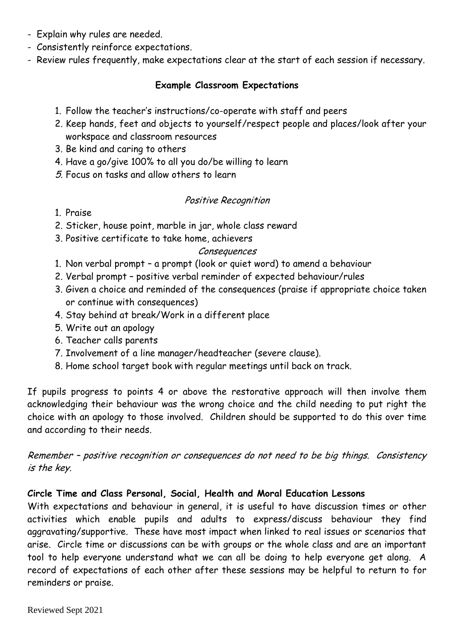- Explain why rules are needed.
- Consistently reinforce expectations.
- Review rules frequently, make expectations clear at the start of each session if necessary.

#### **Example Classroom Expectations**

- 1. Follow the teacher's instructions/co-operate with staff and peers
- 2. Keep hands, feet and objects to yourself/respect people and places/look after your workspace and classroom resources
- 3. Be kind and caring to others
- 4. Have a go/give 100% to all you do/be willing to learn
- 5. Focus on tasks and allow others to learn

#### Positive Recognition

- 1. Praise
- 2. Sticker, house point, marble in jar, whole class reward
- 3. Positive certificate to take home, achievers

#### Consequences

- 1. Non verbal prompt a prompt (look or quiet word) to amend a behaviour
- 2. Verbal prompt positive verbal reminder of expected behaviour/rules
- 3. Given a choice and reminded of the consequences (praise if appropriate choice taken or continue with consequences)
- 4. Stay behind at break/Work in a different place
- 5. Write out an apology
- 6. Teacher calls parents
- 7. Involvement of a line manager/headteacher (severe clause).
- 8. Home school target book with regular meetings until back on track.

If pupils progress to points 4 or above the restorative approach will then involve them acknowledging their behaviour was the wrong choice and the child needing to put right the choice with an apology to those involved. Children should be supported to do this over time and according to their needs.

Remember – positive recognition or consequences do not need to be big things. Consistency is the key.

#### **Circle Time and Class Personal, Social, Health and Moral Education Lessons**

With expectations and behaviour in general, it is useful to have discussion times or other activities which enable pupils and adults to express/discuss behaviour they find aggravating/supportive. These have most impact when linked to real issues or scenarios that arise. Circle time or discussions can be with groups or the whole class and are an important tool to help everyone understand what we can all be doing to help everyone get along. A record of expectations of each other after these sessions may be helpful to return to for reminders or praise.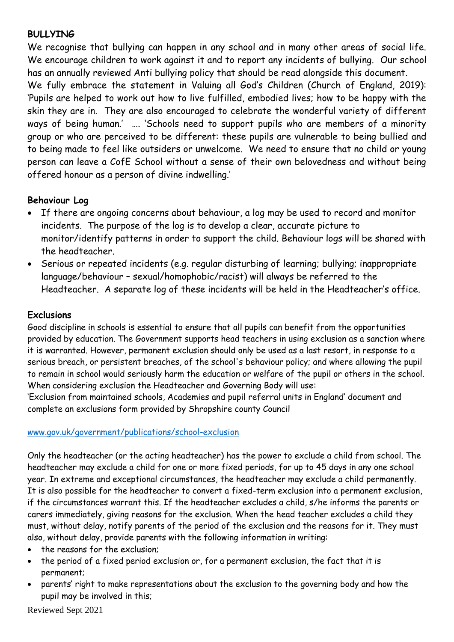#### **BULLYING**

We recognise that bullying can happen in any school and in many other areas of social life. We encourage children to work against it and to report any incidents of bullying. Our school has an annually reviewed Anti bullying policy that should be read alongside this document.

We fully embrace the statement in Valuing all God's Children (Church of England, 2019): 'Pupils are helped to work out how to live fulfilled, embodied lives; how to be happy with the skin they are in. They are also encouraged to celebrate the wonderful variety of different ways of being human.' …. 'Schools need to support pupils who are members of a minority group or who are perceived to be different: these pupils are vulnerable to being bullied and to being made to feel like outsiders or unwelcome. We need to ensure that no child or young person can leave a CofE School without a sense of their own belovedness and without being offered honour as a person of divine indwelling.'

#### **Behaviour Log**

- If there are ongoing concerns about behaviour, a log may be used to record and monitor incidents. The purpose of the log is to develop a clear, accurate picture to monitor/identify patterns in order to support the child. Behaviour logs will be shared with the headteacher.
- Serious or repeated incidents (e.g. regular disturbing of learning; bullying; inappropriate language/behaviour – sexual/homophobic/racist) will always be referred to the Headteacher. A separate log of these incidents will be held in the Headteacher's office.

#### **Exclusions**

Good discipline in schools is essential to ensure that all pupils can benefit from the opportunities provided by education. The Government supports head teachers in using exclusion as a sanction where it is warranted. However, permanent exclusion should only be used as a last resort, in response to a serious breach, or persistent breaches, of the school's behaviour policy; and where allowing the pupil to remain in school would seriously harm the education or welfare of the pupil or others in the school. When considering exclusion the Headteacher and Governing Body will use:

'Exclusion from maintained schools, Academies and pupil referral units in England' document and complete an exclusions form provided by Shropshire county Council

#### [www.gov.uk/government/publications/school-exclusion](http://www.gov.uk/government/publications/school-exclusion)

Only the headteacher (or the acting headteacher) has the power to exclude a child from school. The headteacher may exclude a child for one or more fixed periods, for up to 45 days in any one school year. In extreme and exceptional circumstances, the headteacher may exclude a child permanently. It is also possible for the headteacher to convert a fixed-term exclusion into a permanent exclusion, if the circumstances warrant this. If the headteacher excludes a child, s/he informs the parents or carers immediately, giving reasons for the exclusion. When the head teacher excludes a child they must, without delay, notify parents of the period of the exclusion and the reasons for it. They must also, without delay, provide parents with the following information in writing:

- the reasons for the exclusion:
- the period of a fixed period exclusion or, for a permanent exclusion, the fact that it is permanent;
- parents' right to make representations about the exclusion to the governing body and how the pupil may be involved in this;

Reviewed Sept 2021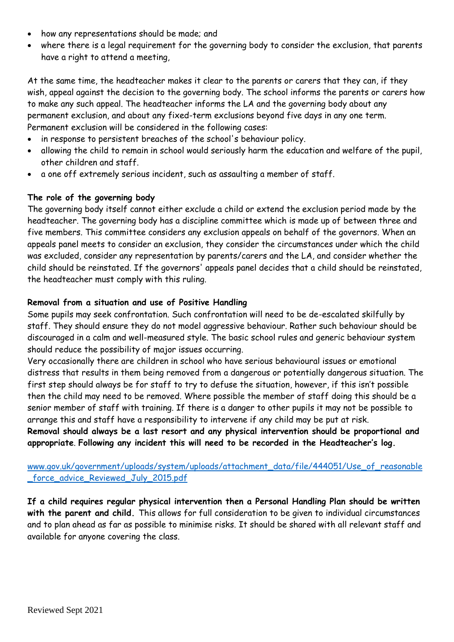- how any representations should be made; and
- where there is a legal requirement for the governing body to consider the exclusion, that parents have a right to attend a meeting,

At the same time, the headteacher makes it clear to the parents or carers that they can, if they wish, appeal against the decision to the governing body. The school informs the parents or carers how to make any such appeal. The headteacher informs the LA and the governing body about any permanent exclusion, and about any fixed-term exclusions beyond five days in any one term. Permanent exclusion will be considered in the following cases:

- in response to persistent breaches of the school's behaviour policy.
- allowing the child to remain in school would seriously harm the education and welfare of the pupil, other children and staff.
- a one off extremely serious incident, such as assaulting a member of staff.

#### **The role of the governing body**

The governing body itself cannot either exclude a child or extend the exclusion period made by the headteacher. The governing body has a discipline committee which is made up of between three and five members. This committee considers any exclusion appeals on behalf of the governors. When an appeals panel meets to consider an exclusion, they consider the circumstances under which the child was excluded, consider any representation by parents/carers and the LA, and consider whether the child should be reinstated. If the governors' appeals panel decides that a child should be reinstated, the headteacher must comply with this ruling.

#### **Removal from a situation and use of Positive Handling**

Some pupils may seek confrontation. Such confrontation will need to be de-escalated skilfully by staff. They should ensure they do not model aggressive behaviour. Rather such behaviour should be discouraged in a calm and well-measured style. The basic school rules and generic behaviour system should reduce the possibility of major issues occurring.

Very occasionally there are children in school who have serious behavioural issues or emotional distress that results in them being removed from a dangerous or potentially dangerous situation. The first step should always be for staff to try to defuse the situation, however, if this isn't possible then the child may need to be removed. Where possible the member of staff doing this should be a senior member of staff with training. If there is a danger to other pupils it may not be possible to arrange this and staff have a responsibility to intervene if any child may be put at risk.

**Removal should always be a last resort and any physical intervention should be proportional and appropriate**. **Following any incident this will need to be recorded in the Headteacher's log.**

[www.gov.uk/government/uploads/system/uploads/attachment\\_data/file/444051/Use\\_of\\_reasonable](http://www.gov.uk/government/uploads/system/uploads/attachment_data/file/444051/Use_of_reasonable_force_advice_Reviewed_July_2015.pdf) force advice Reviewed July 2015.pdf

**If a child requires regular physical intervention then a Personal Handling Plan should be written with the parent and child.** This allows for full consideration to be given to individual circumstances and to plan ahead as far as possible to minimise risks. It should be shared with all relevant staff and available for anyone covering the class.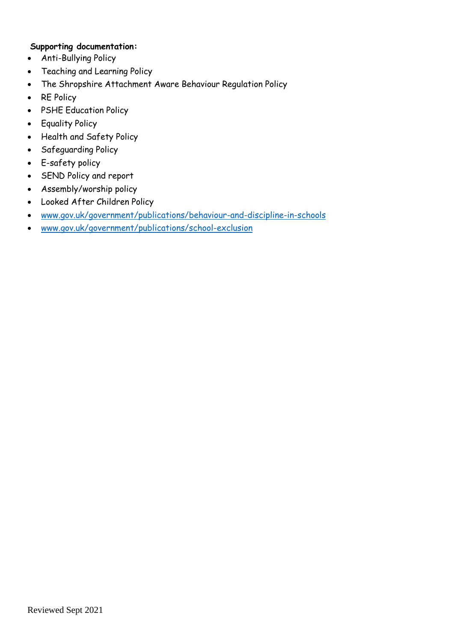#### **Supporting documentation:**

- Anti-Bullying Policy
- Teaching and Learning Policy
- The Shropshire Attachment Aware Behaviour Regulation Policy
- RE Policy
- PSHE Education Policy
- Equality Policy
- Health and Safety Policy
- Safeguarding Policy
- E-safety policy
- SEND Policy and report
- Assembly/worship policy
- Looked After Children Policy
- [www.gov.uk/government/publications/behaviour-and-discipline-in-schools](http://www.gov.uk/government/publications/behaviour-and-discipline-in-schools)
- [www.gov.uk/government/publications/school-exclusion](http://www.gov.uk/government/publications/school-exclusion)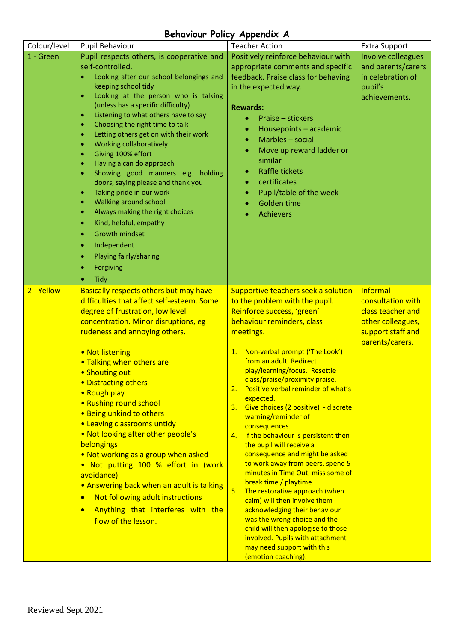## **Behaviour Policy Appendix A**

| Colour/level | Pupil Behaviour                                                                                                                                                                                                                                                                                                                                                                                                                                                                                                                                                                                                                                                                                                                                                                                                                            | <b>Teacher Action</b>                                                                                                                                                                                                                                                                                                                                                                                                                                                                                                                                                                                                                                                                                                                                                                                                                                                                                         | <b>Extra Support</b>                                                                                            |
|--------------|--------------------------------------------------------------------------------------------------------------------------------------------------------------------------------------------------------------------------------------------------------------------------------------------------------------------------------------------------------------------------------------------------------------------------------------------------------------------------------------------------------------------------------------------------------------------------------------------------------------------------------------------------------------------------------------------------------------------------------------------------------------------------------------------------------------------------------------------|---------------------------------------------------------------------------------------------------------------------------------------------------------------------------------------------------------------------------------------------------------------------------------------------------------------------------------------------------------------------------------------------------------------------------------------------------------------------------------------------------------------------------------------------------------------------------------------------------------------------------------------------------------------------------------------------------------------------------------------------------------------------------------------------------------------------------------------------------------------------------------------------------------------|-----------------------------------------------------------------------------------------------------------------|
| 1 - Green    | Pupil respects others, is cooperative and<br>self-controlled.<br>Looking after our school belongings and<br>keeping school tidy<br>Looking at the person who is talking<br>$\bullet$<br>(unless has a specific difficulty)<br>Listening to what others have to say<br>$\bullet$<br>Choosing the right time to talk<br>$\bullet$<br>Letting others get on with their work<br>$\bullet$<br>Working collaboratively<br>Giving 100% effort<br>Having a can do approach<br>۰<br>Showing good manners e.g. holding<br>۰<br>doors, saying please and thank you<br>Taking pride in our work<br>$\bullet$<br>Walking around school<br>۰<br>Always making the right choices<br>$\bullet$<br>Kind, helpful, empathy<br>$\bullet$<br><b>Growth mindset</b><br>$\bullet$<br>Independent<br>۰<br>Playing fairly/sharing<br>۰<br>Forgiving<br><b>Tidy</b> | Positively reinforce behaviour with<br>appropriate comments and specific<br>feedback. Praise class for behaving<br>in the expected way.<br><b>Rewards:</b><br>Praise - stickers<br>Housepoints - academic<br>۰<br>Marbles - social<br>$\bullet$<br>Move up reward ladder or<br>$\bullet$<br>similar<br><b>Raffle tickets</b><br>۰<br>certificates<br>۰<br>Pupil/table of the week<br>۰<br>Golden time<br><b>Achievers</b>                                                                                                                                                                                                                                                                                                                                                                                                                                                                                     | Involve colleagues<br>and parents/carers<br>in celebration of<br>pupil's<br>achievements.                       |
| 2 - Yellow   | Basically respects others but may have<br>difficulties that affect self-esteem. Some<br>degree of frustration, low level<br>concentration. Minor disruptions, eg<br>rudeness and annoying others.<br>• Not listening<br>• Talking when others are<br>• Shouting out<br>• Distracting others<br>• Rough play<br>• Rushing round school<br>• Being unkind to others<br>• Leaving classrooms untidy<br>. Not looking after other people's<br>belongings<br>. Not working as a group when asked<br>. Not putting 100 % effort in (work<br>avoidance)<br>• Answering back when an adult is talking<br>Not following adult instructions<br>$\bullet$<br>Anything that interferes with the<br>flow of the lesson.                                                                                                                                 | Supportive teachers seek a solution<br>to the problem with the pupil.<br>Reinforce success, 'green'<br>behaviour reminders, class<br>meetings.<br>1. Non-verbal prompt ('The Look')<br>from an adult. Redirect<br>play/learning/focus. Resettle<br>class/praise/proximity praise.<br>Positive verbal reminder of what's<br>expected.<br>Give choices (2 positive) - discrete<br>3.<br>warning/reminder of<br>consequences.<br>4. If the behaviour is persistent then<br>the pupil will receive a<br>consequence and might be asked<br>to work away from peers, spend 5<br>minutes in Time Out, miss some of<br>break time / playtime.<br>The restorative approach (when<br>5.<br>calm) will then involve them<br>acknowledging their behaviour<br>was the wrong choice and the<br>child will then apologise to those<br>involved. Pupils with attachment<br>may need support with this<br>(emotion coaching). | Informal<br>consultation with<br>class teacher and<br>other colleagues,<br>support staff and<br>parents/carers. |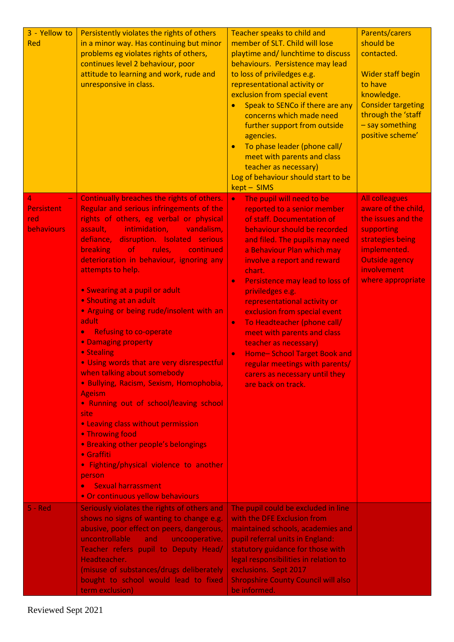| 3 - Yellow to<br>Red                               | Persistently violates the rights of others<br>in a minor way. Has continuing but minor<br>problems eg violates rights of others,<br>continues level 2 behaviour, poor<br>attitude to learning and work, rude and<br>unresponsive in class.                                                                                                                                                                                                                                                                                                                                                                                                                                                                                                                                                                                                                                                                                                                                             | Teacher speaks to child and<br>member of SLT. Child will lose<br>playtime and/ lunchtime to discuss<br>behaviours. Persistence may lead<br>to loss of priviledges e.g.<br>representational activity or<br>exclusion from special event<br>Speak to SENCo if there are any<br>concerns which made need<br>further support from outside<br>agencies.<br>To phase leader (phone call/<br>$\bullet$<br>meet with parents and class<br>teacher as necessary)<br>Log of behaviour should start to be<br>kept - SIMS                                                                                                              | Parents/carers<br>should be<br>contacted.<br><b>Wider staff begin</b><br>to have<br>knowledge.<br><b>Consider targeting</b><br>through the 'staff<br>- say something<br>positive scheme' |
|----------------------------------------------------|----------------------------------------------------------------------------------------------------------------------------------------------------------------------------------------------------------------------------------------------------------------------------------------------------------------------------------------------------------------------------------------------------------------------------------------------------------------------------------------------------------------------------------------------------------------------------------------------------------------------------------------------------------------------------------------------------------------------------------------------------------------------------------------------------------------------------------------------------------------------------------------------------------------------------------------------------------------------------------------|----------------------------------------------------------------------------------------------------------------------------------------------------------------------------------------------------------------------------------------------------------------------------------------------------------------------------------------------------------------------------------------------------------------------------------------------------------------------------------------------------------------------------------------------------------------------------------------------------------------------------|------------------------------------------------------------------------------------------------------------------------------------------------------------------------------------------|
| 4<br><b>Persistent</b><br>red<br><b>behaviours</b> | Continually breaches the rights of others.<br>Regular and serious infringements of the<br>rights of others, eg verbal or physical<br>assault,<br>intimidation,<br>vandalism,<br>disruption. Isolated serious<br>defiance,<br><b>breaking</b><br>rules,<br>of<br>continued<br>deterioration in behaviour, ignoring any<br>attempts to help.<br>• Swearing at a pupil or adult<br>• Shouting at an adult<br>. Arguing or being rude/insolent with an<br>adult<br><b>Refusing to co-operate</b><br>$\bullet$<br>• Damaging property<br>• Stealing<br>. Using words that are very disrespectful<br>when talking about somebody<br>· Bullying, Racism, Sexism, Homophobia,<br><b>Ageism</b><br>• Running out of school/leaving school<br>site<br>• Leaving class without permission<br>• Throwing food<br>• Breaking other people's belongings<br>$\bullet$ Graffiti<br>• Fighting/physical violence to another<br>person<br><b>Sexual harrassment</b><br>• Or continuous yellow behaviours | The pupil will need to be<br>$\bullet$<br>reported to a senior member<br>of staff. Documentation of<br>behaviour should be recorded<br>and filed. The pupils may need<br>a Behaviour Plan which may<br>involve a report and reward<br>chart.<br>Persistence may lead to loss of<br>$\bullet$<br>priviledges e.g.<br>representational activity or<br>exclusion from special event<br>To Headteacher (phone call/<br>$\bullet$<br>meet with parents and class<br>teacher as necessary)<br>Home-School Target Book and<br>$\bullet$<br>regular meetings with parents/<br>carers as necessary until they<br>are back on track. | <b>All colleagues</b><br>aware of the child,<br>the issues and the<br>supporting<br>strategies being<br>implemented.<br><b>Outside agency</b><br>involvement<br>where appropriate        |
| $5 - Red$                                          | Seriously violates the rights of others and<br>shows no signs of wanting to change e.g.<br>abusive, poor effect on peers, dangerous,<br>uncontrollable<br>uncooperative.<br>and<br>Teacher refers pupil to Deputy Head/<br>Headteacher.<br>(misuse of substances/drugs deliberately<br>bought to school would lead to fixed<br>term exclusion)                                                                                                                                                                                                                                                                                                                                                                                                                                                                                                                                                                                                                                         | The pupil could be excluded in line<br>with the DFE Exclusion from<br>maintained schools, academies and<br>pupil referral units in England:<br>statutory guidance for those with<br>legal responsibilities in relation to<br>exclusions. Sept 2017<br><b>Shropshire County Council will also</b><br>be informed.                                                                                                                                                                                                                                                                                                           |                                                                                                                                                                                          |